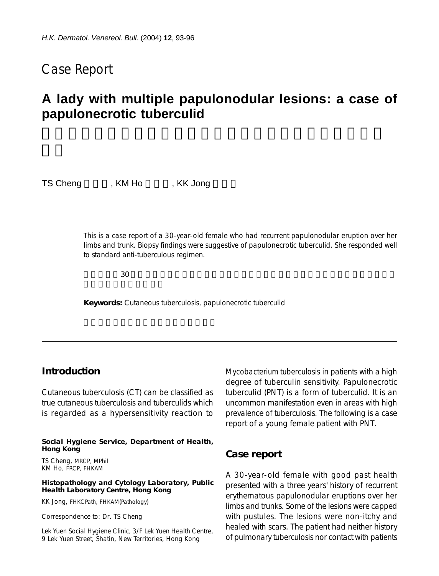## Case Report

# **A lady with multiple papulonodular lesions: a case of papulonecrotic tuberculid**

TS Cheng , KM Ho , KK Jong

This is a case report of a 30-year-old female who had recurrent papulonodular eruption over her limbs and trunk. Biopsy findings were suggestive of papulonecrotic tuberculid. She responded well to standard anti-tuberculous regimen.

 $30$ 

**Keywords:** Cutaneous tuberculosis, papulonecrotic tuberculid

## **Introduction**

Cutaneous tuberculosis (CT) can be classified as true cutaneous tuberculosis and tuberculids which is regarded as a hypersensitivity reaction to

**Social Hygiene Service, Department of Health, Hong Kong**

TS Cheng, MRCP, MPhil KM Ho, FRCP, FHKAM

**Histopathology and Cytology Laboratory, Public Health Laboratory Centre, Hong Kong**

KK Jong, FHKCPath, FHKAM(Pathology)

Correspondence to: Dr. TS Cheng

Lek Yuen Social Hygiene Clinic, 3/F Lek Yuen Health Centre, 9 Lek Yuen Street, Shatin, New Territories, Hong Kong

*Mycobacterium tuberculosis* in patients with a high degree of tuberculin sensitivity. Papulonecrotic tuberculid (PNT) is a form of tuberculid. It is an uncommon manifestation even in areas with high prevalence of tuberculosis. The following is a case report of a young female patient with PNT.

#### **Case report**

A 30-year-old female with good past health presented with a three years' history of recurrent erythematous papulonodular eruptions over her limbs and trunks. Some of the lesions were capped with pustules. The lesions were non-itchy and healed with scars. The patient had neither history of pulmonary tuberculosis nor contact with patients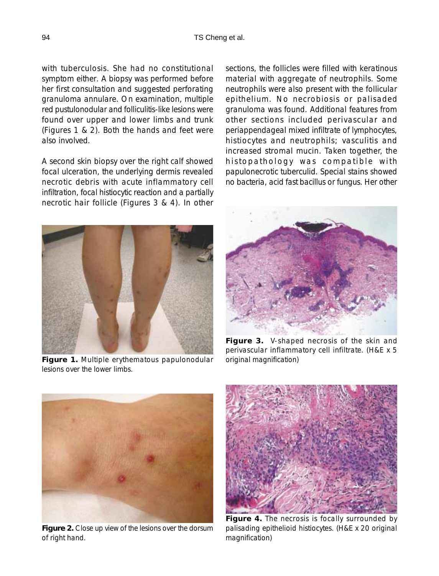with tuberculosis. She had no constitutional symptom either. A biopsy was performed before her first consultation and suggested perforating granuloma annulare. On examination, multiple red pustulonodular and folliculitis-like lesions were found over upper and lower limbs and trunk (Figures 1 & 2). Both the hands and feet were also involved.

A second skin biopsy over the right calf showed focal ulceration, the underlying dermis revealed necrotic debris with acute inflammatory cell infiltration, focal histiocytic reaction and a partially necrotic hair follicle (Figures 3 & 4). In other sections, the follicles were filled with keratinous material with aggregate of neutrophils. Some neutrophils were also present with the follicular epithelium. No necrobiosis or palisaded granuloma was found. Additional features from other sections included perivascular and periappendageal mixed infiltrate of lymphocytes, histiocytes and neutrophils; vasculitis and increased stromal mucin. Taken together, the histopathology was compatible with papulonecrotic tuberculid. Special stains showed no bacteria, acid fast bacillus or fungus. Her other



**Figure 1.** Multiple erythematous papulonodular lesions over the lower limbs.



**Figure 3.** V-shaped necrosis of the skin and perivascular inflammatory cell infiltrate. (H&E x 5 original magnification)



**Figure 2.** Close up view of the lesions over the dorsum of right hand.



**Figure 4.** The necrosis is focally surrounded by palisading epithelioid histiocytes. (H&E x 20 original magnification)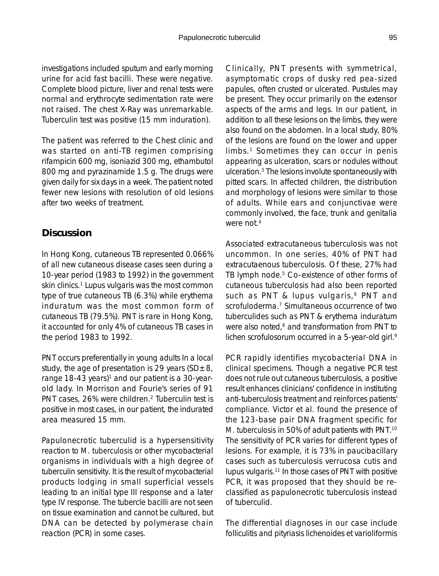investigations included sputum and early morning urine for acid fast bacilli. These were negative. Complete blood picture, liver and renal tests were normal and erythrocyte sedimentation rate were not raised. The chest X-Ray was unremarkable. Tuberculin test was positive (15 mm induration).

The patient was referred to the Chest clinic and was started on anti-TB regimen comprising rifampicin 600 mg, isoniazid 300 mg, ethambutol 800 mg and pyrazinamide 1.5 g. The drugs were given daily for six days in a week. The patient noted fewer new lesions with resolution of old lesions after two weeks of treatment.

## **Discussion**

In Hong Kong, cutaneous TB represented 0.066% of all new cutaneous disease cases seen during a 10-year period (1983 to 1992) in the government skin clinics.<sup>1</sup> Lupus vulgaris was the most common type of true cutaneous TB (6.3%) while erythema induratum was the most common form of cutaneous TB (79.5%). PNT is rare in Hong Kong, it accounted for only 4% of cutaneous TB cases in the period 1983 to 1992.

PNT occurs preferentially in young adults In a local study, the age of presentation is 29 years ( $SD \pm 8$ , range 18-43 years)<sup>1</sup> and our patient is a 30-yearold lady. In Morrison and Fourie's series of 91 PNT cases, 26% were children.<sup>2</sup> Tuberculin test is positive in most cases, in our patient, the indurated area measured 15 mm.

Papulonecrotic tuberculid is a hypersensitivity reaction to *M. tuberculosis* or other mycobacterial organisms in individuals with a high degree of tuberculin sensitivity. It is the result of mycobacterial products lodging in small superficial vessels leading to an initial type III response and a later type IV response. The tubercle bacilli are not seen on tissue examination and cannot be cultured, but DNA can be detected by polymerase chain reaction (PCR) in some cases.

Clinically, PNT presents with symmetrical, asymptomatic crops of dusky red pea-sized papules, often crusted or ulcerated. Pustules may be present. They occur primarily on the extensor aspects of the arms and legs. In our patient, in addition to all these lesions on the limbs, they were also found on the abdomen. In a local study, 80% of the lesions are found on the lower and upper limbs.<sup>1</sup> Sometimes they can occur in penis appearing as ulceration, scars or nodules without ulceration.3 The lesions involute spontaneously with pitted scars. In affected children, the distribution and morphology of lesions were similar to those of adults. While ears and conjunctivae were commonly involved, the face, trunk and genitalia were not.<sup>4</sup>

Associated extracutaneous tuberculosis was not uncommon. In one series, 40% of PNT had extracutaenous tuberculosis. Of these, 27% had TB lymph node.<sup>5</sup> Co-existence of other forms of cutaneous tuberculosis had also been reported such as PNT & lupus vulgaris,<sup>6</sup> PNT and scrofuloderma.<sup>7</sup> Simultaneous occurrence of two tuberculides such as PNT & erythema induratum were also noted,<sup>8</sup> and transformation from PNT to lichen scrofulosorum occurred in a 5-year-old girl.<sup>9</sup>

PCR rapidly identifies mycobacterial DNA in clinical specimens. Though a negative PCR test does not rule out cutaneous tuberculosis, a positive result enhances clinicians' confidence in instituting anti-tuberculosis treatment and reinforces patients' compliance. Victor et al. found the presence of the 123-base pair DNA fragment specific for *M. tuberculosis* in 50% of adult patients with PNT.10 The sensitivity of PCR varies for different types of lesions. For example, it is 73% in paucibacillary cases such as tuberculosis verrucosa cutis and lupus vulgaris.11 In those cases of PNT with positive PCR, it was proposed that they should be reclassified as papulonecrotic tuberculosis instead of tuberculid.

The differential diagnoses in our case include folliculitis and pityriasis lichenoides et varioliformis